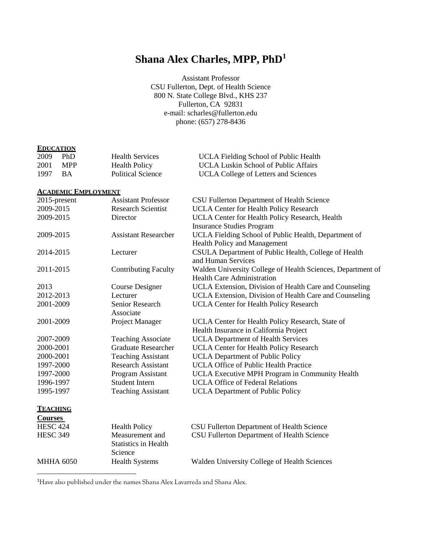# **Shana Alex Charles, MPP, PhD 1**

Assistant Professor CSU Fullerton, Dept. of Health Science 800 N. State College Blvd., KHS 237 Fullerton, CA 92831 e-mail: [scharles@fullerton.edu](mailto:scharles@fullerton.edu) phone: (657) 278-8436

# **EDUCATION**

| 2009 | - PhD | <b>Health Services</b>   | <b>UCLA Fielding School of Public Health</b> |
|------|-------|--------------------------|----------------------------------------------|
| 2001 | MPP . | <b>Health Policy</b>     | UCLA Luskin School of Public Affairs         |
| 1997 | - RA  | <b>Political Science</b> | <b>UCLA College of Letters and Sciences</b>  |

#### **ACADEMIC EMPLOYMENT**

| 2015-present     | <b>Assistant Professor</b>  | CSU Fullerton Department of Health Science                  |
|------------------|-----------------------------|-------------------------------------------------------------|
| 2009-2015        | <b>Research Scientist</b>   | <b>UCLA Center for Health Policy Research</b>               |
| 2009-2015        | Director                    | UCLA Center for Health Policy Research, Health              |
|                  |                             | <b>Insurance Studies Program</b>                            |
| 2009-2015        | <b>Assistant Researcher</b> | UCLA Fielding School of Public Health, Department of        |
|                  |                             | <b>Health Policy and Management</b>                         |
| 2014-2015        | Lecturer                    | CSULA Department of Public Health, College of Health        |
|                  |                             | and Human Services                                          |
| 2011-2015        | <b>Contributing Faculty</b> | Walden University College of Health Sciences, Department of |
|                  |                             | <b>Health Care Administration</b>                           |
| 2013             | Course Designer             | UCLA Extension, Division of Health Care and Counseling      |
| 2012-2013        | Lecturer                    | UCLA Extension, Division of Health Care and Counseling      |
| 2001-2009        | Senior Research             | <b>UCLA Center for Health Policy Research</b>               |
|                  | Associate                   |                                                             |
| 2001-2009        | Project Manager             | UCLA Center for Health Policy Research, State of            |
|                  |                             | Health Insurance in California Project                      |
| 2007-2009        | <b>Teaching Associate</b>   | <b>UCLA Department of Health Services</b>                   |
| 2000-2001        | <b>Graduate Researcher</b>  | <b>UCLA Center for Health Policy Research</b>               |
| 2000-2001        | <b>Teaching Assistant</b>   | <b>UCLA Department of Public Policy</b>                     |
| 1997-2000        | <b>Research Assistant</b>   | <b>UCLA Office of Public Health Practice</b>                |
| 1997-2000        | Program Assistant           | UCLA Executive MPH Program in Community Health              |
| 1996-1997        | <b>Student Intern</b>       | <b>UCLA Office of Federal Relations</b>                     |
| 1995-1997        | <b>Teaching Assistant</b>   | <b>UCLA Department of Public Policy</b>                     |
| <b>TEACHING</b>  |                             |                                                             |
| <b>Courses</b>   |                             |                                                             |
| <b>HESC 424</b>  | <b>Health Policy</b>        | CSU Fullerton Department of Health Science                  |
| <b>HESC 349</b>  | Measurement and             | CSU Fullerton Department of Health Science                  |
|                  | <b>Statistics in Health</b> |                                                             |
|                  | Science                     |                                                             |
| <b>MHHA 6050</b> | <b>Health Systems</b>       | Walden University College of Health Sciences                |
|                  |                             |                                                             |

<sup>1</sup>Have also published under the names Shana Alex Lavarreda and Shana Alex.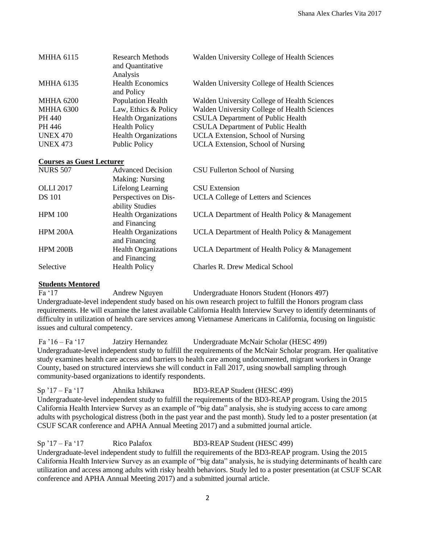| <b>MHHA 6115</b> | <b>Research Methods</b><br>and Quantitative<br>Analysis | Walden University College of Health Sciences |
|------------------|---------------------------------------------------------|----------------------------------------------|
| <b>MHHA 6135</b> | <b>Health Economics</b><br>and Policy                   | Walden University College of Health Sciences |
| <b>MHHA 6200</b> | Population Health                                       | Walden University College of Health Sciences |
| <b>MHHA 6300</b> | Law, Ethics & Policy                                    | Walden University College of Health Sciences |
| PH 440           | <b>Health Organizations</b>                             | <b>CSULA Department of Public Health</b>     |
| PH 446           | <b>Health Policy</b>                                    | <b>CSULA Department of Public Health</b>     |
| <b>UNEX 470</b>  | <b>Health Organizations</b>                             | UCLA Extension, School of Nursing            |
| <b>UNEX 473</b>  | <b>Public Policy</b>                                    | UCLA Extension, School of Nursing            |

# **Courses as Guest Lecturer**

| <b>NURS 507</b>  | <b>Advanced Decision</b>                     | CSU Fullerton School of Nursing               |
|------------------|----------------------------------------------|-----------------------------------------------|
|                  | <b>Making: Nursing</b>                       |                                               |
| <b>OLLI 2017</b> | Lifelong Learning                            | CSU Extension                                 |
| <b>DS</b> 101    | Perspectives on Dis-<br>ability Studies      | <b>UCLA College of Letters and Sciences</b>   |
| <b>HPM 100</b>   | <b>Health Organizations</b><br>and Financing | UCLA Department of Health Policy & Management |
| <b>HPM 200A</b>  | <b>Health Organizations</b><br>and Financing | UCLA Department of Health Policy & Management |
| <b>HPM 200B</b>  | <b>Health Organizations</b><br>and Financing | UCLA Department of Health Policy & Management |
| Selective        | <b>Health Policy</b>                         | <b>Charles R. Drew Medical School</b>         |

# **Students Mentored**

Fa '17 Andrew Nguyen Undergraduate Honors Student (Honors 497)

Undergraduate-level independent study based on his own research project to fulfill the Honors program class requirements. He will examine the latest available California Health Interview Survey to identify determinants of difficulty in utilization of health care services among Vietnamese Americans in California, focusing on linguistic issues and cultural competency.

Fa '16 – Fa '17 Jatziry Hernandez Undergraduate McNair Scholar (HESC 499) Undergraduate-level independent study to fulfill the requirements of the McNair Scholar program. Her qualitative study examines health care access and barriers to health care among undocumented, migrant workers in Orange County, based on structured interviews she will conduct in Fall 2017, using snowball sampling through community-based organizations to identify respondents.

Sp '17 – Fa '17 Ahnika Ishikawa BD3-REAP Student (HESC 499) Undergraduate-level independent study to fulfill the requirements of the BD3-REAP program. Using the 2015 California Health Interview Survey as an example of "big data" analysis, she is studying access to care among adults with psychological distress (both in the past year and the past month). Study led to a poster presentation (at CSUF SCAR conference and APHA Annual Meeting 2017) and a submitted journal article.

Sp '17 – Fa '17 Rico Palafox BD3-REAP Student (HESC 499) Undergraduate-level independent study to fulfill the requirements of the BD3-REAP program. Using the 2015 California Health Interview Survey as an example of "big data" analysis, he is studying determinants of health care utilization and access among adults with risky health behaviors. Study led to a poster presentation (at CSUF SCAR conference and APHA Annual Meeting 2017) and a submitted journal article.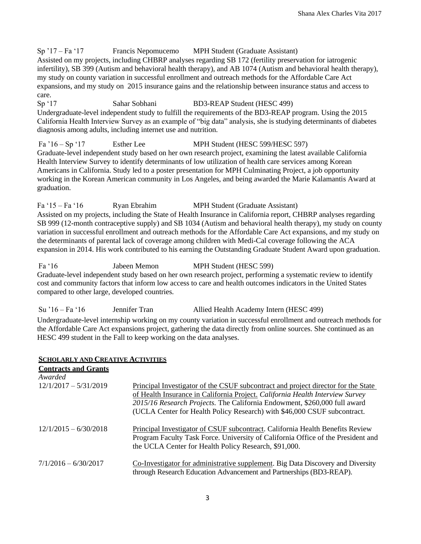# $Sp<sup>17</sup> – Fa<sup>17</sup>$  Francis Nepomucemo MPH Student (Graduate Assistant)

Assisted on my projects, including CHBRP analyses regarding SB 172 (fertility preservation for iatrogenic infertility), SB 399 (Autism and behavioral health therapy), and AB 1074 (Autism and behavioral health therapy), my study on county variation in successful enrollment and outreach methods for the Affordable Care Act expansions, and my study on 2015 insurance gains and the relationship between insurance status and access to care.

Sp '17 Sahar Sobhani BD3-REAP Student (HESC 499) Undergraduate-level independent study to fulfill the requirements of the BD3-REAP program. Using the 2015 California Health Interview Survey as an example of "big data" analysis, she is studying determinants of diabetes diagnosis among adults, including internet use and nutrition.

Fa '16 – Sp '17 Esther Lee MPH Student (HESC 599/HESC 597) Graduate-level independent study based on her own research project, examining the latest available California Health Interview Survey to identify determinants of low utilization of health care services among Korean Americans in California. Study led to a poster presentation for MPH Culminating Project, a job opportunity working in the Korean American community in Los Angeles, and being awarded the Marie Kalamantis Award at graduation.

Fa '15 – Fa '16 Ryan Ebrahim MPH Student (Graduate Assistant) Assisted on my projects, including the State of Health Insurance in California report, CHBRP analyses regarding SB 999 (12-month contraceptive supply) and SB 1034 (Autism and behavioral health therapy), my study on county variation in successful enrollment and outreach methods for the Affordable Care Act expansions, and my study on the determinants of parental lack of coverage among children with Medi-Cal coverage following the ACA expansion in 2014. His work contributed to his earning the Outstanding Graduate Student Award upon graduation.

Fa '16 Jabeen Memon MPH Student (HESC 599) Graduate-level independent study based on her own research project, performing a systematic review to identify cost and community factors that inform low access to care and health outcomes indicators in the United States compared to other large, developed countries.

Su '16 – Fa '16 Jennifer Tran Allied Health Academy Intern (HESC 499)

Undergraduate-level internship working on my county variation in successful enrollment and outreach methods for the Affordable Care Act expansions project, gathering the data directly from online sources. She continued as an HESC 499 student in the Fall to keep working on the data analyses.

#### **SCHOLARLY AND CREATIVE ACTIVITIES**

| <b>Contracts and Grants</b><br>Awarded |                                                                                                                                                                                                                                                                                                                             |
|----------------------------------------|-----------------------------------------------------------------------------------------------------------------------------------------------------------------------------------------------------------------------------------------------------------------------------------------------------------------------------|
| $12/1/2017 - 5/31/2019$                | Principal Investigator of the CSUF subcontract and project director for the State<br>of Health Insurance in California Project. California Health Interview Survey<br>2015/16 Research Projects. The California Endowment, \$260,000 full award<br>(UCLA Center for Health Policy Research) with \$46,000 CSUF subcontract. |
| $12/1/2015 - 6/30/2018$                | Principal Investigator of CSUF subcontract. California Health Benefits Review<br>Program Faculty Task Force. University of California Office of the President and<br>the UCLA Center for Health Policy Research, \$91,000.                                                                                                  |
| $7/1/2016 - 6/30/2017$                 | Co-Investigator for administrative supplement. Big Data Discovery and Diversity<br>through Research Education Advancement and Partnerships (BD3-REAP).                                                                                                                                                                      |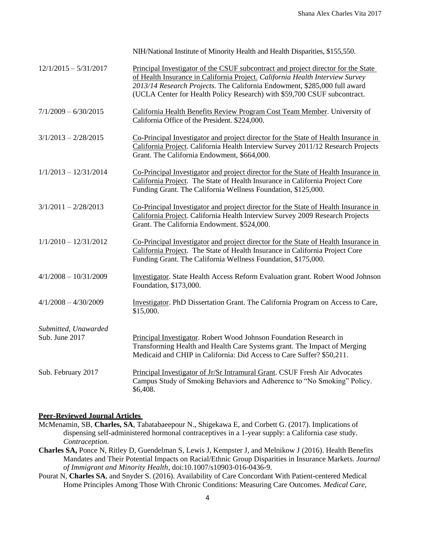|                                        | NIH/National Institute of Minority Health and Health Disparities, \$155,550.                                                                                                                                                                                                                                                |
|----------------------------------------|-----------------------------------------------------------------------------------------------------------------------------------------------------------------------------------------------------------------------------------------------------------------------------------------------------------------------------|
| $12/1/2015 - 5/31/2017$                | Principal Investigator of the CSUF subcontract and project director for the State<br>of Health Insurance in California Project. California Health Interview Survey<br>2013/14 Research Projects. The California Endowment, \$285,000 full award<br>(UCLA Center for Health Policy Research) with \$59,700 CSUF subcontract. |
| $7/1/2009 - 6/30/2015$                 | California Health Benefits Review Program Cost Team Member. University of<br>California Office of the President. \$224,000.                                                                                                                                                                                                 |
| $3/1/2013 - 2/28/2015$                 | Co-Principal Investigator and project director for the State of Health Insurance in<br>California Project. California Health Interview Survey 2011/12 Research Projects<br>Grant. The California Endowment, \$664,000.                                                                                                      |
| $1/1/2013 - 12/31/2014$                | Co-Principal Investigator and project director for the State of Health Insurance in<br>California Project. The State of Health Insurance in California Project Core<br>Funding Grant. The California Wellness Foundation, \$125,000.                                                                                        |
| $3/1/2011 - 2/28/2013$                 | Co-Principal Investigator and project director for the State of Health Insurance in<br>California Project. California Health Interview Survey 2009 Research Projects<br>Grant. The California Endowment. \$524,000.                                                                                                         |
| $1/1/2010 - 12/31/2012$                | Co-Principal Investigator and project director for the State of Health Insurance in<br>California Project. The State of Health Insurance in California Project Core<br>Funding Grant. The California Wellness Foundation, \$175,000.                                                                                        |
| $4/1/2008 - 10/31/2009$                | <b>Investigator.</b> State Health Access Reform Evaluation grant. Robert Wood Johnson<br>Foundation, \$173,000.                                                                                                                                                                                                             |
| $4/1/2008 - 4/30/2009$                 | Investigator. PhD Dissertation Grant. The California Program on Access to Care,<br>\$15,000.                                                                                                                                                                                                                                |
| Submitted, Unawarded<br>Sub. June 2017 | Principal Investigator. Robert Wood Johnson Foundation Research in<br>Transforming Health and Health Care Systems grant. The Impact of Merging<br>Medicaid and CHIP in California: Did Access to Care Suffer? \$50,211.                                                                                                     |
| Sub. February 2017                     | Principal Investigator of Jr/Sr Intramural Grant. CSUF Fresh Air Advocates<br>Campus Study of Smoking Behaviors and Adherence to "No Smoking" Policy.<br>\$6,408.                                                                                                                                                           |

# **Peer-Reviewed Journal Articles**

- McMenamin, SB, **Charles, SA**, Tabatabaeepour N., Shigekawa E, and Corbett G. (2017). Implications of dispensing self-administered hormonal contraceptives in a 1-year supply: a California case study. *Contraception*.
- **Charles SA,** Ponce N, Ritley D, Guendelman S, Lewis J, Kempster J, and Melnikow J (2016). Health Benefits Mandates and Their Potential Impacts on Racial/Ethnic Group Disparities in Insurance Markets. *Journal of Immigrant and Minority Health*, doi:10.1007/s10903-016-0436-9.
- Pourat N, **Charles SA**, and Snyder S. (2016). Availability of Care Concordant With Patient-centered Medical Home Principles Among Those With Chronic Conditions: Measuring Care Outcomes. *Medical Care*,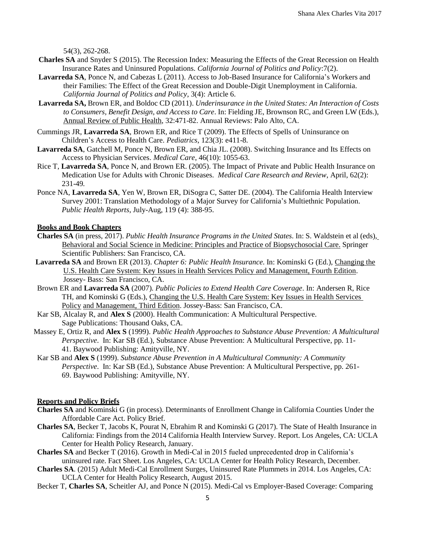54(3), 262-268.

- **Charles SA** and Snyder S (2015). The Recession Index: Measuring the Effects of the Great Recession on Health Insurance Rates and Uninsured Populations. *California Journal of Politics and Policy*:7(2).
- **Lavarreda SA**, Ponce N, and Cabezas L (2011). Access to Job-Based Insurance for California's Workers and their Families: The Effect of the Great Recession and Double-Digit Unemployment in California. *California Journal of Politics and Policy*, 3(4): Article 6.
- **Lavarreda SA,** Brown ER, and Boldoc CD (2011). *Underinsurance in the United States: An Interaction of Costs to Consumers, Benefit Design, and Access to Care*. In: Fielding JE, Brownson RC, and Green LW (Eds.), Annual Review of Public Health, 32:471-82. Annual Reviews: Palo Alto, CA.
- Cummings JR, **Lavarreda SA**, Brown ER, and Rice T (2009). The Effects of Spells of Uninsurance on Children's Access to Health Care. *Pediatrics*, 123(3): e411-8.
- **Lavarreda SA**, Gatchell M, Ponce N, Brown ER, and Chia JL. (2008). Switching Insurance and Its Effects on Access to Physician Services. *Medical Care*, 46(10): 1055-63.
- Rice T, **Lavarreda SA**, Ponce N, and Brown ER. (2005). The Impact of Private and Public Health Insurance on Medication Use for Adults with Chronic Diseases. *Medical Care Research and Review*, April, 62(2): 231-49*.*
- Ponce NA, **Lavarreda SA**, Yen W, Brown ER, DiSogra C, Satter DE. (2004). The California Health Interview Survey 2001: Translation Methodology of a Major Survey for California's Multiethnic Population. *Public Health Reports*, July-Aug, 119 (4): 388-95.

# **Books and Book Chapters**

- **Charles SA** (in press, 2017). *Public Health Insurance Programs in the United States*. In: S. Waldstein et al (eds), Behavioral and Social Science in Medicine: Principles and Practice of Biopsychosocial Care. Springer Scientific Publishers: San Francisco, CA.
- **Lavarreda SA** and Brown ER (2013). *Chapter 6: Public Health Insurance*. In: Kominski G (Ed.), Changing the U.S. Health Care System: Key Issues in Health Services Policy and Management, Fourth Edition. Jossey- Bass: San Francisco, CA.
- Brown ER and **Lavarreda SA** (2007). *Public Policies to Extend Health Care Coverage*. In: Andersen R, Rice TH, and Kominski G (Eds.), Changing the U.S. Health Care System: Key Issues in Health Services Policy and Management, Third Edition. Jossey-Bass: San Francisco, CA.
- Kar SB, Alcalay R, and **Alex S** (2000). Health Communication: A Multicultural Perspective. Sage Publications: Thousand Oaks, CA.
- Massey E, Ortiz R, and **Alex S** (1999). *Public Health Approaches to Substance Abuse Prevention: A Multicultural Perspective*. In: Kar SB (Ed*.*)*,* Substance Abuse Prevention: A Multicultural Perspective, pp. 11- 41. Baywood Publishing: Amityville, NY.
- Kar SB and **Alex S** (1999). *Substance Abuse Prevention in A Multicultural Community: A Community Perspective*. In: Kar SB (Ed.), Substance Abuse Prevention: A Multicultural Perspective, pp. 261- 69. Baywood Publishing: Amityville, NY.

#### **Reports and Policy Briefs**

- **Charles SA** and Kominski G (in process). Determinants of Enrollment Change in California Counties Under the Affordable Care Act. Policy Brief.
- **Charles SA**, Becker T, Jacobs K, Pourat N, Ebrahim R and Kominski G (2017). The State of Health Insurance in California: Findings from the 2014 California Health Interview Survey. Report. Los Angeles, CA: UCLA Center for Health Policy Research, January.
- **Charles SA** and Becker T (2016). Growth in Medi-Cal in 2015 fueled unprecedented drop in California's uninsured rate. Fact Sheet. Los Angeles, CA: UCLA Center for Health Policy Research, December.
- **Charles SA**. (2015) Adult Medi-Cal Enrollment Surges, Uninsured Rate Plummets in 2014. Los Angeles, CA: UCLA Center for Health Policy Research, August 2015.
- Becker T, **Charles SA**, Scheitler AJ, and Ponce N (2015). Medi-Cal vs Employer-Based Coverage: Comparing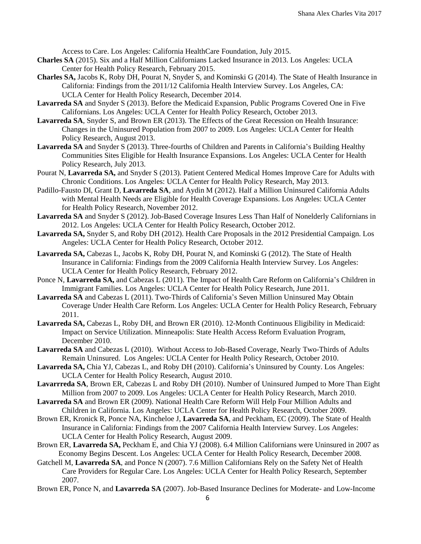Access to Care. Los Angeles: California HealthCare Foundation, July 2015.

- **Charles SA** (2015). Six and a Half Million Californians Lacked Insurance in 2013. Los Angeles: UCLA Center for Health Policy Research, February 2015.
- **Charles SA,** Jacobs K, Roby DH, Pourat N, Snyder S, and Kominski G (2014). The State of Health Insurance in California: Findings from the 2011/12 California Health Interview Survey. Los Angeles, CA: UCLA Center for Health Policy Research, December 2014.
- **Lavarreda SA** and Snyder S (2013). Before the Medicaid Expansion, Public Programs Covered One in Five Californians. Los Angeles: UCLA Center for Health Policy Research, October 2013.
- **Lavarreda SA**, Snyder S, and Brown ER (2013). The Effects of the Great Recession on Health Insurance: Changes in the Uninsured Population from 2007 to 2009. Los Angeles: UCLA Center for Health Policy Research, August 2013.
- **Lavarreda SA** and Snyder S (2013). Three-fourths of Children and Parents in California's Building Healthy Communities Sites Eligible for Health Insurance Expansions. Los Angeles: UCLA Center for Health Policy Research, July 2013.
- Pourat N, **Lavarreda SA,** and Snyder S (2013). Patient Centered Medical Homes Improve Care for Adults with Chronic Conditions. Los Angeles: UCLA Center for Health Policy Research, May 2013.
- Padillo-Fausto DI, Grant D, **Lavarreda SA**, and Aydin M (2012). Half a Million Uninsured California Adults with Mental Health Needs are Eligible for Health Coverage Expansions. Los Angeles: UCLA Center for Health Policy Research, November 2012.
- **Lavarreda SA** and Snyder S (2012). Job-Based Coverage Insures Less Than Half of Nonelderly Californians in 2012. Los Angeles: UCLA Center for Health Policy Research, October 2012.
- **Lavarreda SA,** Snyder S, and Roby DH (2012). Health Care Proposals in the 2012 Presidential Campaign. Los Angeles: UCLA Center for Health Policy Research, October 2012.
- **Lavarreda SA,** Cabezas L, Jacobs K, Roby DH, Pourat N, and Kominski G (2012). The State of Health Insurance in California: Findings from the 2009 California Health Interview Survey. Los Angeles: UCLA Center for Health Policy Research, February 2012.
- Ponce N, **Lavarreda SA,** and Cabezas L (2011). The Impact of Health Care Reform on California's Children in Immigrant Families. Los Angeles: UCLA Center for Health Policy Research, June 2011.
- **Lavarreda SA** and Cabezas L (2011). Two-Thirds of California's Seven Million Uninsured May Obtain Coverage Under Health Care Reform. Los Angeles: UCLA Center for Health Policy Research, February 2011.
- **Lavarreda SA,** Cabezas L, Roby DH, and Brown ER (2010). 12-Month Continuous Eligibility in Medicaid: Impact on Service Utilization. Minneapolis: State Health Access Reform Evaluation Program, December 2010.
- **Lavarreda SA** and Cabezas L (2010). Without Access to Job-Based Coverage, Nearly Two-Thirds of Adults Remain Uninsured. Los Angeles: UCLA Center for Health Policy Research, October 2010.
- **Lavarreda SA,** Chia YJ, Cabezas L, and Roby DH (2010). California's Uninsured by County. Los Angeles: UCLA Center for Health Policy Research, August 2010.
- **Lavarrreda SA**, Brown ER, Cabezas L and Roby DH (2010). Number of Uninsured Jumped to More Than Eight Million from 2007 to 2009. Los Angeles: UCLA Center for Health Policy Research, March 2010.
- **Lavarreda SA** and Brown ER (2009). National Health Care Reform Will Help Four Million Adults and Children in California. Los Angeles: UCLA Center for Health Policy Research, October 2009.
- Brown ER, Kronick R, Ponce NA, Kincheloe J, **Lavarreda SA**, and Peckham, EC (2009). The State of Health Insurance in California: Findings from the 2007 California Health Interview Survey. Los Angeles: UCLA Center for Health Policy Research, August 2009.
- Brown ER, **Lavarreda SA,** Peckham E, and Chia YJ (2008). 6.4 Million Californians were Uninsured in 2007 as Economy Begins Descent. Los Angeles: UCLA Center for Health Policy Research, December 2008.
- Gatchell M, **Lavarreda SA**, and Ponce N (2007). 7.6 Million Californians Rely on the Safety Net of Health Care Providers for Regular Care. Los Angeles: UCLA Center for Health Policy Research, September 2007.
- Brown ER, Ponce N, and **Lavarreda SA** (2007). Job-Based Insurance Declines for Moderate- and Low-Income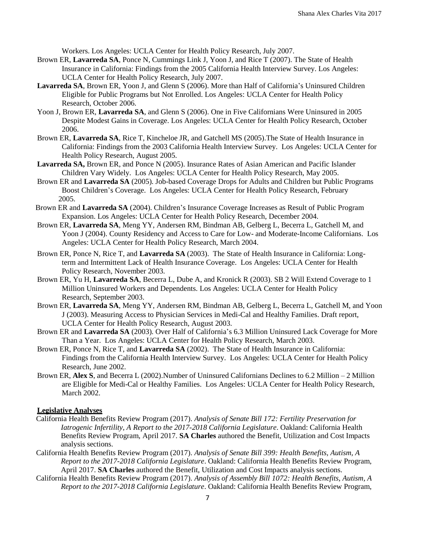Workers. Los Angeles: UCLA Center for Health Policy Research, July 2007.

- Brown ER, **Lavarreda SA**, Ponce N, Cummings Link J, Yoon J, and Rice T (2007). The State of Health Insurance in California: Findings from the 2005 California Health Interview Survey. Los Angeles: UCLA Center for Health Policy Research, July 2007.
- **Lavarreda SA**, Brown ER, Yoon J, and Glenn S (2006). More than Half of California's Uninsured Children Eligible for Public Programs but Not Enrolled. Los Angeles: UCLA Center for Health Policy Research, October 2006.
- Yoon J, Brown ER, **Lavarreda SA**, and Glenn S (2006). One in Five Californians Were Uninsured in 2005 Despite Modest Gains in Coverage. Los Angeles: UCLA Center for Health Policy Research, October 2006.
- Brown ER, **Lavarreda SA**, Rice T, Kincheloe JR, and Gatchell MS (2005).The State of Health Insurance in California: Findings from the 2003 California Health Interview Survey. Los Angeles: UCLA Center for Health Policy Research, August 2005.
- **Lavarreda SA,** Brown ER, and Ponce N (2005). Insurance Rates of Asian American and Pacific Islander Children Vary Widely. Los Angeles: UCLA Center for Health Policy Research, May 2005.
- Brown ER and **Lavarreda SA** (2005). Job-based Coverage Drops for Adults and Children but Public Programs Boost Children's Coverage. Los Angeles: UCLA Center for Health Policy Research, February 2005.
- Brown ER and **Lavarreda SA** (2004). Children's Insurance Coverage Increases as Result of Public Program Expansion. Los Angeles: UCLA Center for Health Policy Research, December 2004.
- Brown ER, **Lavarreda SA**, Meng YY, Andersen RM, Bindman AB, Gelberg L, Becerra L, Gatchell M, and Yoon J (2004). County Residency and Access to Care for Low- and Moderate-Income Californians. Los Angeles: UCLA Center for Health Policy Research, March 2004.
- Brown ER, Ponce N, Rice T, and **Lavarreda SA** (2003). The State of Health Insurance in California: Longterm and Intermittent Lack of Health Insurance Coverage. Los Angeles: UCLA Center for Health Policy Research, November 2003.
- Brown ER, Yu H, **Lavarreda SA**, Becerra L, Dube A, and Kronick R (2003). SB 2 Will Extend Coverage to 1 Million Uninsured Workers and Dependents. Los Angeles: UCLA Center for Health Policy Research, September 2003.
- Brown ER, **Lavarreda SA**, Meng YY, Andersen RM, Bindman AB, Gelberg L, Becerra L, Gatchell M, and Yoon J (2003). Measuring Access to Physician Services in Medi-Cal and Healthy Families. Draft report, UCLA Center for Health Policy Research, August 2003.
- Brown ER and **Lavarreda SA** (2003). Over Half of California's 6.3 Million Uninsured Lack Coverage for More Than a Year. Los Angeles: UCLA Center for Health Policy Research, March 2003.
- Brown ER, Ponce N, Rice T, and **Lavarreda SA** (2002). The State of Health Insurance in California: Findings from the California Health Interview Survey. Los Angeles: UCLA Center for Health Policy Research, June 2002.
- Brown ER, **Alex S**, and Becerra L (2002).Number of Uninsured Californians Declines to 6.2 Million 2 Million are Eligible for Medi-Cal or Healthy Families. Los Angeles: UCLA Center for Health Policy Research, March 2002.

# **Legislative Analyses**

- California Health Benefits Review Program (2017). *Analysis of Senate Bill 172: Fertility Preservation for Iatrogenic Infertility, A Report to the 2017-2018 California Legislature*. Oakland: California Health Benefits Review Program, April 2017. **SA Charles** authored the Benefit, Utilization and Cost Impacts analysis sections.
- California Health Benefits Review Program (2017). *Analysis of Senate Bill 399: Health Benefits, Autism, A Report to the 2017-2018 California Legislature*. Oakland: California Health Benefits Review Program, April 2017. **SA Charles** authored the Benefit, Utilization and Cost Impacts analysis sections.
- California Health Benefits Review Program (2017). *Analysis of Assembly Bill 1072: Health Benefits, Autism, A Report to the 2017-2018 California Legislature*. Oakland: California Health Benefits Review Program,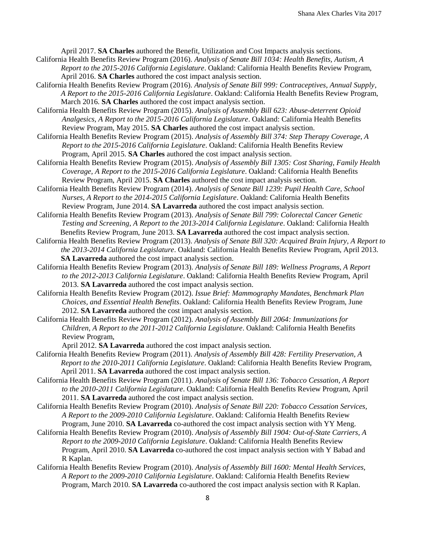April 2017. **SA Charles** authored the Benefit, Utilization and Cost Impacts analysis sections.

- California Health Benefits Review Program (2016). *Analysis of Senate Bill 1034: Health Benefits, Autism, A Report to the 2015-2016 California Legislature*. Oakland: California Health Benefits Review Program, April 2016. **SA Charles** authored the cost impact analysis section.
- California Health Benefits Review Program (2016). *Analysis of Senate Bill 999: Contraceptives, Annual Supply, A Report to the 2015-2016 California Legislature*. Oakland: California Health Benefits Review Program, March 2016. **SA Charles** authored the cost impact analysis section.
- California Health Benefits Review Program (2015). *Analysis of Assembly Bill 623: Abuse-deterrent Opioid Analgesics, A Report to the 2015-2016 California Legislature*. Oakland: California Health Benefits Review Program, May 2015. **SA Charles** authored the cost impact analysis section.
- California Health Benefits Review Program (2015). *Analysis of Assembly Bill 374: Step Therapy Coverage, A Report to the 2015-2016 California Legislature*. Oakland: California Health Benefits Review Program, April 2015. **SA Charles** authored the cost impact analysis section.
- California Health Benefits Review Program (2015). *Analysis of Assembly Bill 1305: Cost Sharing, Family Health Coverage, A Report to the 2015-2016 California Legislature*. Oakland: California Health Benefits Review Program, April 2015. **SA Charles** authored the cost impact analysis section.
- California Health Benefits Review Program (2014). *Analysis of Senate Bill 1239: Pupil Health Care, School Nurses, A Report to the 2014-2015 California Legislature*. Oakland: California Health Benefits Review Program, June 2014. **SA Lavarreda** authored the cost impact analysis section.
- California Health Benefits Review Program (2013). *Analysis of Senate Bill 799: Colorectal Cancer Genetic Testing and Screening, A Report to the 2013-2014 California Legislature*. Oakland: California Health Benefits Review Program, June 2013. **SA Lavarreda** authored the cost impact analysis section.
- California Health Benefits Review Program (2013). *Analysis of Senate Bill 320: Acquired Brain Injury, A Report to the 2013-2014 California Legislature*. Oakland: California Health Benefits Review Program, April 2013. **SA Lavarreda** authored the cost impact analysis section.
- California Health Benefits Review Program (2013). *Analysis of Senate Bill 189: Wellness Programs, A Report to the 2012-2013 California Legislature*. Oakland: California Health Benefits Review Program, April 2013. **SA Lavarreda** authored the cost impact analysis section.
- California Health Benefits Review Program (2012). *Issue Brief: Mammography Mandates, Benchmark Plan Choices, and Essential Health Benefits*. Oakland: California Health Benefits Review Program, June 2012. **SA Lavarreda** authored the cost impact analysis section.
- California Health Benefits Review Program (2012). *Analysis of Assembly Bill 2064: Immunizations for Children, A Report to the 2011-2012 California Legislature*. Oakland: California Health Benefits Review Program,

April 2012. **SA Lavarreda** authored the cost impact analysis section.

- California Health Benefits Review Program (2011). *Analysis of Assembly Bill 428: Fertility Preservation, A Report to the 2010-2011 California Legislature*. Oakland: California Health Benefits Review Program, April 2011. **SA Lavarreda** authored the cost impact analysis section.
- California Health Benefits Review Program (2011). *Analysis of Senate Bill 136: Tobacco Cessation, A Report to the 2010-2011 California Legislature*. Oakland: California Health Benefits Review Program, April 2011. **SA Lavarreda** authored the cost impact analysis section.
- California Health Benefits Review Program (2010). *Analysis of Senate Bill 220: Tobacco Cessation Services, A Report to the 2009-2010 California Legislature*. Oakland: California Health Benefits Review Program, June 2010. **SA Lavarreda** co-authored the cost impact analysis section with YY Meng.
- California Health Benefits Review Program (2010). *Analysis of Assembly Bill 1904: Out-of-State Carriers, A Report to the 2009-2010 California Legislature*. Oakland: California Health Benefits Review Program, April 2010. **SA Lavarreda** co-authored the cost impact analysis section with Y Babad and R Kaplan.
- California Health Benefits Review Program (2010). *Analysis of Assembly Bill 1600: Mental Health Services, A Report to the 2009-2010 California Legislature*. Oakland: California Health Benefits Review Program, March 2010. **SA Lavarreda** co-authored the cost impact analysis section with R Kaplan.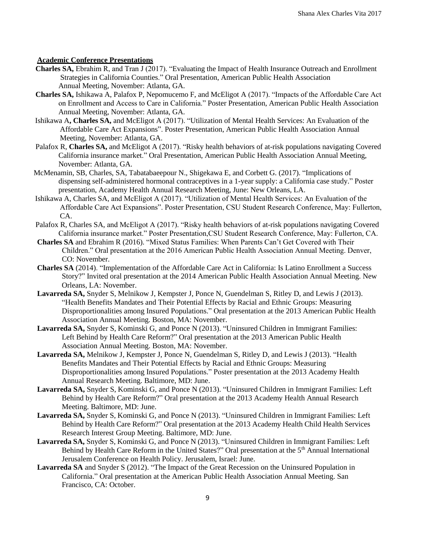#### **Academic Conference Presentations**

- **Charles SA,** Ebrahim R, and Tran J (2017). "Evaluating the Impact of Health Insurance Outreach and Enrollment Strategies in California Counties." Oral Presentation, American Public Health Association Annual Meeting, November: Atlanta, GA.
- **Charles SA,** Ishikawa A, Palafox P, Nepomucemo F, and McEligot A (2017). "Impacts of the Affordable Care Act on Enrollment and Access to Care in California." Poster Presentation, American Public Health Association Annual Meeting, November: Atlanta, GA.
- Ishikawa A**, Charles SA,** and McEligot A (2017). "Utilization of Mental Health Services: An Evaluation of the Affordable Care Act Expansions". Poster Presentation, American Public Health Association Annual Meeting, November: Atlanta, GA.
- Palafox R, **Charles SA,** and McEligot A (2017). "Risky health behaviors of at-risk populations navigating Covered California insurance market." Oral Presentation, American Public Health Association Annual Meeting, November: Atlanta, GA.
- McMenamin, SB, Charles, SA, Tabatabaeepour N., Shigekawa E, and Corbett G. (2017). "Implications of dispensing self-administered hormonal contraceptives in a 1-year supply: a California case study." Poster presentation, Academy Health Annual Research Meeting, June: New Orleans, LA.
- Ishikawa A, Charles SA, and McEligot A (2017). "Utilization of Mental Health Services: An Evaluation of the Affordable Care Act Expansions". Poster Presentation, CSU Student Research Conference, May: Fullerton, CA.
- Palafox R, Charles SA, and McEligot A (2017). "Risky health behaviors of at-risk populations navigating Covered California insurance market." Poster Presentation,CSU Student Research Conference, May: Fullerton, CA.
- **Charles SA** and Ebrahim R (2016). "Mixed Status Families: When Parents Can't Get Covered with Their Children." Oral presentation at the 2016 American Public Health Association Annual Meeting. Denver, CO: November.
- **Charles SA** (2014). "Implementation of the Affordable Care Act in California: Is Latino Enrollment a Success Story?" Invited oral presentation at the 2014 American Public Health Association Annual Meeting. New Orleans, LA: November.
- **Lavarreda SA,** Snyder S, Melnikow J, Kempster J, Ponce N, Guendelman S, Ritley D, and Lewis J (2013). "Health Benefits Mandates and Their Potential Effects by Racial and Ethnic Groups: Measuring Disproportionalities among Insured Populations." Oral presentation at the 2013 American Public Health Association Annual Meeting. Boston, MA: November.
- **Lavarreda SA,** Snyder S, Kominski G, and Ponce N (2013). "Uninsured Children in Immigrant Families: Left Behind by Health Care Reform?" Oral presentation at the 2013 American Public Health Association Annual Meeting. Boston, MA: November.
- **Lavarreda SA,** Melnikow J, Kempster J, Ponce N, Guendelman S, Ritley D, and Lewis J (2013). "Health Benefits Mandates and Their Potential Effects by Racial and Ethnic Groups: Measuring Disproportionalities among Insured Populations." Poster presentation at the 2013 Academy Health Annual Research Meeting. Baltimore, MD: June.
- **Lavarreda SA,** Snyder S, Kominski G, and Ponce N (2013). "Uninsured Children in Immigrant Families: Left Behind by Health Care Reform?" Oral presentation at the 2013 Academy Health Annual Research Meeting. Baltimore, MD: June.
- **Lavarreda SA,** Snyder S, Kominski G, and Ponce N (2013). "Uninsured Children in Immigrant Families: Left Behind by Health Care Reform?" Oral presentation at the 2013 Academy Health Child Health Services Research Interest Group Meeting. Baltimore, MD: June.
- **Lavarreda SA,** Snyder S, Kominski G, and Ponce N (2013). "Uninsured Children in Immigrant Families: Left Behind by Health Care Reform in the United States?" Oral presentation at the 5<sup>th</sup> Annual International Jerusalem Conference on Health Policy. Jerusalem, Israel: June.
- **Lavarreda SA** and Snyder S (2012). "The Impact of the Great Recession on the Uninsured Population in California." Oral presentation at the American Public Health Association Annual Meeting. San Francisco, CA: October.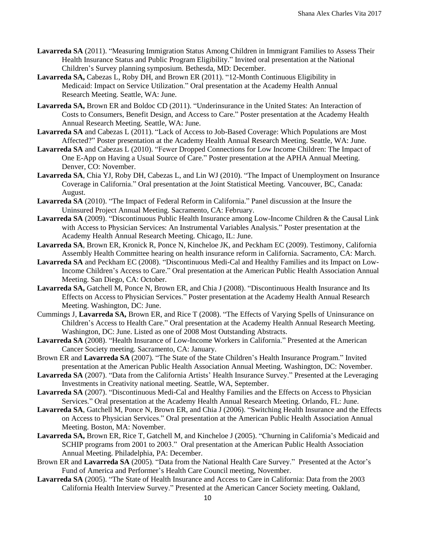- **Lavarreda SA** (2011). "Measuring Immigration Status Among Children in Immigrant Families to Assess Their Health Insurance Status and Public Program Eligibility." Invited oral presentation at the National Children's Survey planning symposium. Bethesda, MD: December.
- **Lavarreda SA,** Cabezas L, Roby DH, and Brown ER (2011). "12-Month Continuous Eligibility in Medicaid: Impact on Service Utilization." Oral presentation at the Academy Health Annual Research Meeting. Seattle, WA: June.
- **Lavarreda SA,** Brown ER and Boldoc CD (2011). "Underinsurance in the United States: An Interaction of Costs to Consumers, Benefit Design, and Access to Care." Poster presentation at the Academy Health Annual Research Meeting. Seattle, WA: June.
- **Lavarreda SA** and Cabezas L (2011). "Lack of Access to Job-Based Coverage: Which Populations are Most Affected?" Poster presentation at the Academy Health Annual Research Meeting. Seattle, WA: June.
- **Lavarreda SA** and Cabezas L (2010). "Fewer Dropped Connections for Low Income Children: The Impact of One E-App on Having a Usual Source of Care." Poster presentation at the APHA Annual Meeting. Denver, CO: November.
- **Lavarreda SA**, Chia YJ, Roby DH, Cabezas L, and Lin WJ (2010). "The Impact of Unemployment on Insurance Coverage in California." Oral presentation at the Joint Statistical Meeting. Vancouver, BC, Canada: August.
- **Lavarreda SA** (2010). "The Impact of Federal Reform in California." Panel discussion at the Insure the Uninsured Project Annual Meeting. Sacramento, CA: February.
- **Lavarreda SA** (2009). "Discontinuous Public Health Insurance among Low-Income Children & the Causal Link with Access to Physician Services: An Instrumental Variables Analysis." Poster presentation at the Academy Health Annual Research Meeting. Chicago, IL: June.
- **Lavarreda SA**, Brown ER, Kronick R, Ponce N, Kincheloe JK, and Peckham EC (2009). Testimony, California Assembly Health Committee hearing on health insurance reform in California. Sacramento, CA: March.
- **Lavarreda SA** and Peckham EC (2008). "Discontinuous Medi-Cal and Healthy Families and its Impact on Low-Income Children's Access to Care." Oral presentation at the American Public Health Association Annual Meeting. San Diego, CA: October.
- **Lavarreda SA,** Gatchell M, Ponce N, Brown ER, and Chia J (2008). "Discontinuous Health Insurance and Its Effects on Access to Physician Services." Poster presentation at the Academy Health Annual Research Meeting. Washington, DC: June.
- Cummings J, **Lavarreda SA,** Brown ER, and Rice T (2008). "The Effects of Varying Spells of Uninsurance on Children's Access to Health Care." Oral presentation at the Academy Health Annual Research Meeting. Washington, DC: June. Listed as one of 2008 Most Outstanding Abstracts.
- **Lavarreda SA** (2008). "Health Insurance of Low-Income Workers in California." Presented at the American Cancer Society meeting. Sacramento, CA: January.
- Brown ER and **Lavarreda SA** (2007). "The State of the State Children's Health Insurance Program." Invited presentation at the American Public Health Association Annual Meeting. Washington, DC: November.
- **Lavarreda SA** (2007). "Data from the California Artists' Health Insurance Survey." Presented at the Leveraging Investments in Creativity national meeting. Seattle, WA, September.
- **Lavarreda SA** (2007). "Discontinuous Medi-Cal and Healthy Families and the Effects on Access to Physician Services." Oral presentation at the Academy Health Annual Research Meeting. Orlando, FL: June.
- **Lavarreda SA**, Gatchell M, Ponce N, Brown ER, and Chia J (2006). "Switching Health Insurance and the Effects on Access to Physician Services." Oral presentation at the American Public Health Association Annual Meeting. Boston, MA: November.
- **Lavarreda SA,** Brown ER, Rice T, Gatchell M, and Kincheloe J (2005). "Churning in California's Medicaid and SCHIP programs from 2001 to 2003." Oral presentation at the American Public Health Association Annual Meeting. Philadelphia, PA: December.
- Brown ER and **Lavarreda SA** (2005). "Data from the National Health Care Survey." Presented at the Actor's Fund of America and Performer's Health Care Council meeting, November.
- **Lavarreda SA** (2005). "The State of Health Insurance and Access to Care in California: Data from the 2003 California Health Interview Survey." Presented at the American Cancer Society meeting. Oakland,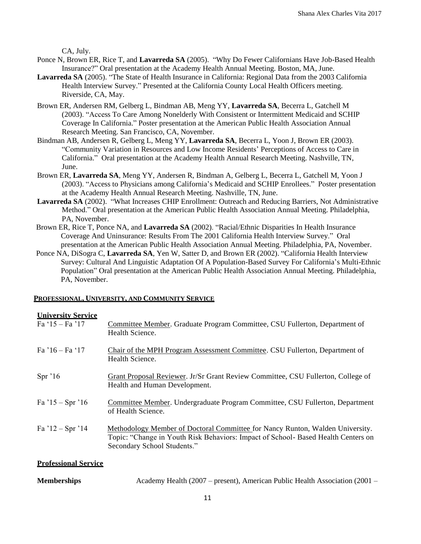CA, July.

- Ponce N, Brown ER, Rice T, and **Lavarreda SA** (2005). "Why Do Fewer Californians Have Job-Based Health Insurance?" Oral presentation at the Academy Health Annual Meeting. Boston, MA, June.
- **Lavarreda SA** (2005). "The State of Health Insurance in California: Regional Data from the 2003 California Health Interview Survey." Presented at the California County Local Health Officers meeting. Riverside, CA, May.
- Brown ER, Andersen RM, Gelberg L, Bindman AB, Meng YY, **Lavarreda SA**, Becerra L, Gatchell M (2003). "Access To Care Among Nonelderly With Consistent or Intermittent Medicaid and SCHIP Coverage In California." Poster presentation at the American Public Health Association Annual Research Meeting. San Francisco, CA, November.
- Bindman AB, Andersen R, Gelberg L, Meng YY, **Lavarreda SA**, Becerra L, Yoon J, Brown ER (2003). "Community Variation in Resources and Low Income Residents' Perceptions of Access to Care in California." Oral presentation at the Academy Health Annual Research Meeting. Nashville, TN, June.
- Brown ER, **Lavarreda SA**, Meng YY, Andersen R, Bindman A, Gelberg L, Becerra L, Gatchell M, Yoon J (2003). "Access to Physicians among California's Medicaid and SCHIP Enrollees." Poster presentation at the Academy Health Annual Research Meeting. Nashville, TN, June.
- **Lavarreda SA** (2002). "What Increases CHIP Enrollment: Outreach and Reducing Barriers, Not Administrative Method." Oral presentation at the American Public Health Association Annual Meeting. Philadelphia, PA, November.
- Brown ER, Rice T, Ponce NA, and **Lavarreda SA** (2002). "Racial/Ethnic Disparities In Health Insurance Coverage And Uninsurance: Results From The 2001 California Health Interview Survey." Oral presentation at the American Public Health Association Annual Meeting. Philadelphia, PA, November.
- Ponce NA, DiSogra C, **Lavarreda SA**, Yen W, Satter D, and Brown ER (2002). "California Health Interview Survey: Cultural And Linguistic Adaptation Of A Population-Based Survey For California's Multi-Ethnic Population" Oral presentation at the American Public Health Association Annual Meeting. Philadelphia, PA, November.

#### **PROFESSIONAL, UNIVERSITY, AND COMMUNITY SERVICE**

#### **University Service**

| Fa $15 - Fa$ $17$           | Committee Member. Graduate Program Committee, CSU Fullerton, Department of<br>Health Science.                                                                                                     |
|-----------------------------|---------------------------------------------------------------------------------------------------------------------------------------------------------------------------------------------------|
| $Fa'16 - Fa'17$             | Chair of the MPH Program Assessment Committee. CSU Fullerton, Department of<br>Health Science.                                                                                                    |
| Spr 16                      | Grant Proposal Reviewer. Jr/Sr Grant Review Committee, CSU Fullerton, College of<br>Health and Human Development.                                                                                 |
| Fa $15 - Spr 16$            | Committee Member. Undergraduate Program Committee, CSU Fullerton, Department<br>of Health Science.                                                                                                |
| Fa $12 - Spr 14$            | Methodology Member of Doctoral Committee for Nancy Runton, Walden University.<br>Topic: "Change in Youth Risk Behaviors: Impact of School- Based Health Centers on<br>Secondary School Students." |
| <b>Professional Service</b> |                                                                                                                                                                                                   |

**Memberships** Academy Health (2007 – present), American Public Health Association (2001 –